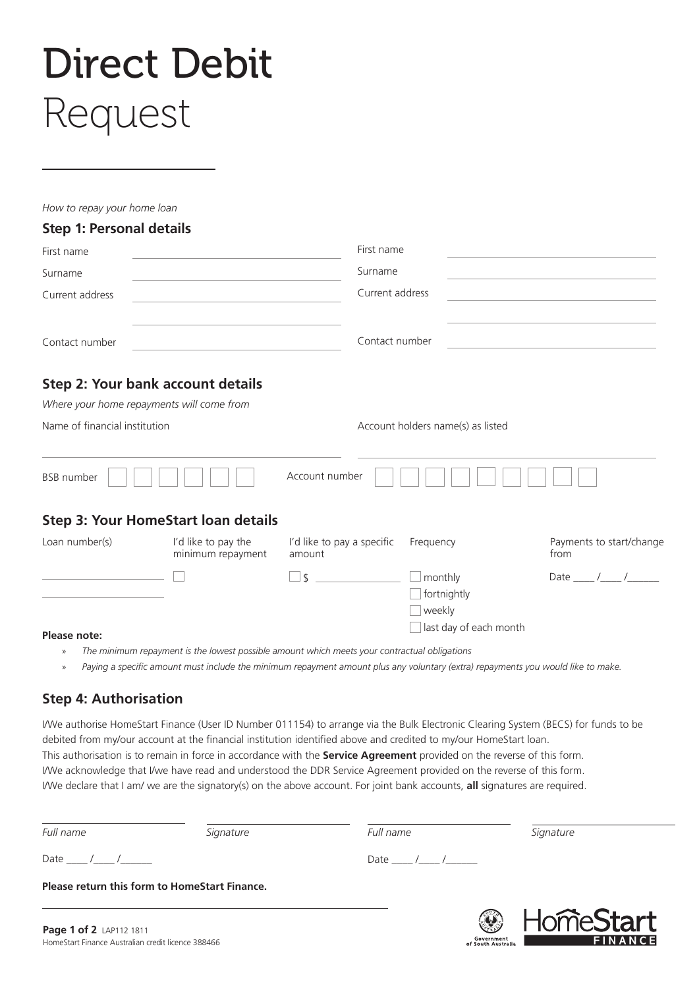# Direct Debit Request

*How to repay your home loan*

### **Step 1: Personal details**

| First name<br>Surname<br>Current address |                                            | First name<br>Surname<br>Current address |           |                                  |                |                                              |  |                |  |  |
|------------------------------------------|--------------------------------------------|------------------------------------------|-----------|----------------------------------|----------------|----------------------------------------------|--|----------------|--|--|
|                                          |                                            |                                          |           |                                  | Contact number | the control of the control of the control of |  | Contact number |  |  |
|                                          |                                            |                                          |           |                                  |                | Step 2: Your bank account details            |  |                |  |  |
|                                          | Where your home repayments will come from  |                                          |           |                                  |                |                                              |  |                |  |  |
| Name of financial institution            |                                            | Account holders name(s) as listed        |           |                                  |                |                                              |  |                |  |  |
| <b>BSB</b> number                        |                                            | Account number                           |           |                                  |                |                                              |  |                |  |  |
|                                          | <b>Step 3: Your HomeStart loan details</b> |                                          |           |                                  |                |                                              |  |                |  |  |
| Loan number(s)                           | I'd like to pay the<br>minimum repayment   | I'd like to pay a specific<br>amount     | Frequency | Payments to start/change<br>from |                |                                              |  |                |  |  |
|                                          |                                            | \$                                       | monthly   | Date $\frac{1}{\sqrt{2}}$        |                |                                              |  |                |  |  |

## **Please note:**<br> **Please note:**<br> **Please note:**

- » *The minimum repayment is the lowest possible amount which meets your contractual obligations*
- » *Paying a specific amount must include the minimum repayment amount plus any voluntary (extra) repayments you would like to make.*

 $\Box$  fortnightly weekly

101 I It

Government<br>of South Australia

#### **Step 4: Authorisation**

I/We authorise HomeStart Finance (User ID Number 011154) to arrange via the Bulk Electronic Clearing System (BECS) for funds to be debited from my/our account at the financial institution identified above and credited to my/our HomeStart loan. This authorisation is to remain in force in accordance with the **Service Agreement** provided on the reverse of this form. I/We acknowledge that I/we have read and understood the DDR Service Agreement provided on the reverse of this form. I/We declare that I am/ we are the signatory(s) on the above account. For joint bank accounts, **all** signatures are required.

| Full name               | Signature                                     | Full name                 | Signature                                                                                                                                                                                                                                                                                                                                                                                                             |  |
|-------------------------|-----------------------------------------------|---------------------------|-----------------------------------------------------------------------------------------------------------------------------------------------------------------------------------------------------------------------------------------------------------------------------------------------------------------------------------------------------------------------------------------------------------------------|--|
| Date ____ /____ /______ |                                               | Date $\frac{1}{\sqrt{2}}$ |                                                                                                                                                                                                                                                                                                                                                                                                                       |  |
|                         | Please return this form to HomeStart Finance. |                           |                                                                                                                                                                                                                                                                                                                                                                                                                       |  |
|                         |                                               |                           | $\bigcirc$ $\bigcup$ $\bigcirc$ $\bigcirc$ $\bigcirc$ $\bigcirc$ $\bigcirc$ $\bigcirc$ $\bigcirc$ $\bigcirc$ $\bigcirc$ $\bigcirc$ $\bigcirc$ $\bigcirc$ $\bigcirc$ $\bigcirc$ $\bigcirc$ $\bigcirc$ $\bigcirc$ $\bigcirc$ $\bigcirc$ $\bigcirc$ $\bigcirc$ $\bigcirc$ $\bigcirc$ $\bigcirc$ $\bigcirc$ $\bigcirc$ $\bigcirc$ $\bigcirc$ $\bigcirc$ $\bigcirc$ $\bigcirc$ $\bigcirc$ $\bigcirc$ $\bigcirc$ $\bigcirc$ |  |